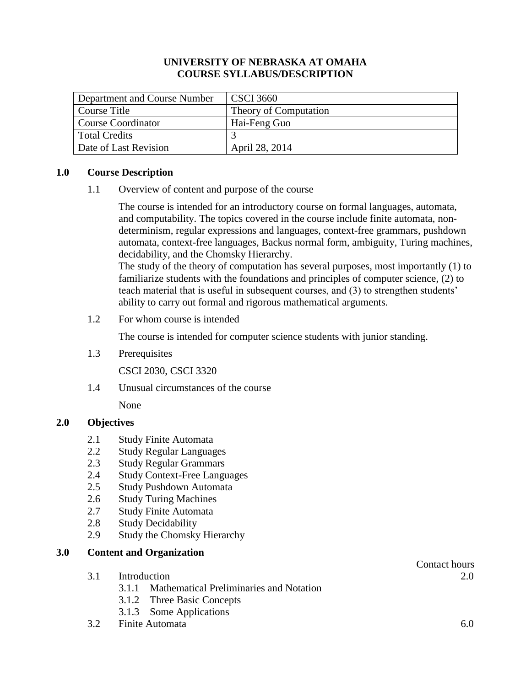## **UNIVERSITY OF NEBRASKA AT OMAHA COURSE SYLLABUS/DESCRIPTION**

| Department and Course Number | <b>CSCI</b> 3660      |
|------------------------------|-----------------------|
| Course Title                 | Theory of Computation |
| <b>Course Coordinator</b>    | Hai-Feng Guo          |
| <b>Total Credits</b>         |                       |
| Date of Last Revision        | April 28, 2014        |

## **1.0 Course Description**

1.1 Overview of content and purpose of the course

The course is intended for an introductory course on formal languages, automata, and computability. The topics covered in the course include finite automata, nondeterminism, regular expressions and languages, context-free grammars, pushdown automata, context-free languages, Backus normal form, ambiguity, Turing machines, decidability, and the Chomsky Hierarchy.

The study of the theory of computation has several purposes, most importantly (1) to familiarize students with the foundations and principles of computer science, (2) to teach material that is useful in subsequent courses, and (3) to strengthen students' ability to carry out formal and rigorous mathematical arguments.

1.2 For whom course is intended

The course is intended for computer science students with junior standing.

1.3 Prerequisites

CSCI 2030, CSCI 3320

1.4 Unusual circumstances of the course

None

# **2.0 Objectives**

- 2.1 Study Finite Automata
- 2.2 Study Regular Languages
- 2.3 Study Regular Grammars
- 2.4 Study Context-Free Languages
- 2.5 Study Pushdown Automata
- 2.6 Study Turing Machines
- 2.7 Study Finite Automata
- 2.8 Study Decidability
- 2.9 Study the Chomsky Hierarchy

# **3.0 Content and Organization**

- 3.1 Introduction 2.0
	- 3.1.1 Mathematical Preliminaries and Notation
	- 3.1.2 Three Basic Concepts
	- 3.1.3 Some Applications
- 3.2 Finite Automata 6.0

Contact hours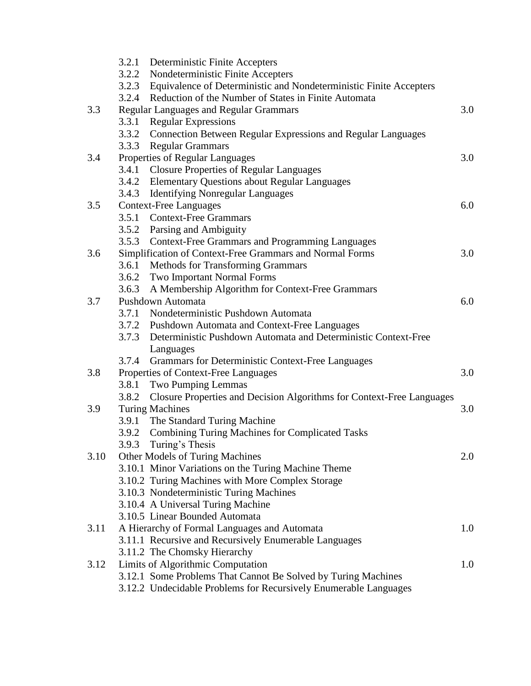|      |       | 3.2.1 Deterministic Finite Accepters                                  |     |
|------|-------|-----------------------------------------------------------------------|-----|
|      | 3.2.2 | <b>Nondeterministic Finite Accepters</b>                              |     |
|      | 3.2.3 | Equivalence of Deterministic and Nondeterministic Finite Accepters    |     |
|      |       | 3.2.4 Reduction of the Number of States in Finite Automata            |     |
| 3.3  |       | <b>Regular Languages and Regular Grammars</b>                         | 3.0 |
|      |       | 3.3.1 Regular Expressions                                             |     |
|      |       | 3.3.2 Connection Between Regular Expressions and Regular Languages    |     |
|      |       | 3.3.3 Regular Grammars                                                |     |
| 3.4  |       | Properties of Regular Languages                                       | 3.0 |
|      |       | 3.4.1 Closure Properties of Regular Languages                         |     |
|      |       | 3.4.2 Elementary Questions about Regular Languages                    |     |
|      |       | 3.4.3 Identifying Nonregular Languages                                |     |
| 3.5  |       | <b>Context-Free Languages</b>                                         | 6.0 |
|      |       | 3.5.1 Context-Free Grammars                                           |     |
|      |       | 3.5.2 Parsing and Ambiguity                                           |     |
|      | 3.5.3 | <b>Context-Free Grammars and Programming Languages</b>                |     |
| 3.6  |       | Simplification of Context-Free Grammars and Normal Forms              | 3.0 |
|      |       | 3.6.1 Methods for Transforming Grammars                               |     |
|      |       | 3.6.2 Two Important Normal Forms                                      |     |
|      | 3.6.3 | A Membership Algorithm for Context-Free Grammars                      |     |
| 3.7  |       | Pushdown Automata                                                     | 6.0 |
|      |       | 3.7.1 Nondeterministic Pushdown Automata                              |     |
|      |       | 3.7.2 Pushdown Automata and Context-Free Languages                    |     |
|      |       | 3.7.3 Deterministic Pushdown Automata and Deterministic Context-Free  |     |
|      |       | Languages                                                             |     |
|      | 3.7.4 | Grammars for Deterministic Context-Free Languages                     |     |
| 3.8  |       | Properties of Context-Free Languages                                  | 3.0 |
|      | 3.8.1 | Two Pumping Lemmas                                                    |     |
|      | 3.8.2 | Closure Properties and Decision Algorithms for Context-Free Languages |     |
| 3.9  |       | <b>Turing Machines</b>                                                | 3.0 |
|      |       | 3.9.1 The Standard Turing Machine                                     |     |
|      | 3.9.2 | Combining Turing Machines for Complicated Tasks                       |     |
|      | 3.9.3 | Turing's Thesis                                                       |     |
| 3.10 |       | Other Models of Turing Machines                                       | 2.0 |
|      |       | 3.10.1 Minor Variations on the Turing Machine Theme                   |     |
|      |       | 3.10.2 Turing Machines with More Complex Storage                      |     |
|      |       | 3.10.3 Nondeterministic Turing Machines                               |     |
|      |       | 3.10.4 A Universal Turing Machine                                     |     |
|      |       | 3.10.5 Linear Bounded Automata                                        |     |
| 3.11 |       | A Hierarchy of Formal Languages and Automata                          | 1.0 |
|      |       | 3.11.1 Recursive and Recursively Enumerable Languages                 |     |
|      |       | 3.11.2 The Chomsky Hierarchy                                          |     |
| 3.12 |       | Limits of Algorithmic Computation                                     | 1.0 |
|      |       | 3.12.1 Some Problems That Cannot Be Solved by Turing Machines         |     |
|      |       | 3.12.2 Undecidable Problems for Recursively Enumerable Languages      |     |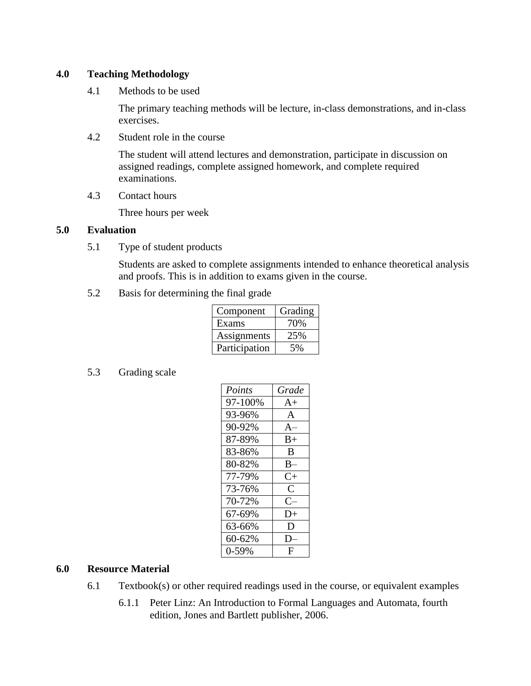## **4.0 Teaching Methodology**

4.1 Methods to be used

The primary teaching methods will be lecture, in-class demonstrations, and in-class exercises.

4.2 Student role in the course

The student will attend lectures and demonstration, participate in discussion on assigned readings, complete assigned homework, and complete required examinations.

4.3 Contact hours

Three hours per week

## **5.0 Evaluation**

5.1 Type of student products

Students are asked to complete assignments intended to enhance theoretical analysis and proofs. This is in addition to exams given in the course.

5.2 Basis for determining the final grade

| Component     | Grading |
|---------------|---------|
| Exams         | 70%     |
| Assignments   | 25%     |
| Participation | 5%      |

5.3 Grading scale

| Grade          |
|----------------|
| $A+$           |
| A              |
| $A-$           |
| $B+$           |
| B              |
| $B-$           |
| $C+$           |
| $\overline{C}$ |
| $C-$           |
| D+             |
| D              |
| D              |
| F              |
|                |

# **6.0 Resource Material**

- 6.1 Textbook(s) or other required readings used in the course, or equivalent examples
	- 6.1.1 Peter Linz: An Introduction to Formal Languages and Automata, fourth edition, Jones and Bartlett publisher, 2006.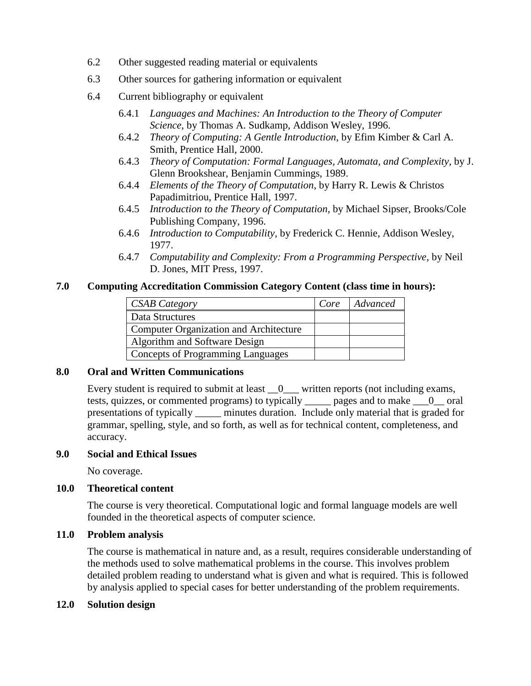- 6.2 Other suggested reading material or equivalents
- 6.3 Other sources for gathering information or equivalent
- 6.4 Current bibliography or equivalent
	- 6.4.1 *Languages and Machines: An Introduction to the Theory of Computer Science*, by Thomas A. Sudkamp, Addison Wesley, 1996.
	- 6.4.2 *Theory of Computing: A Gentle Introduction*, by Efim Kimber & Carl A. Smith, Prentice Hall, 2000.
	- 6.4.3 *Theory of Computation: Formal Languages, Automata, and Complexity*, by J. Glenn Brookshear, Benjamin Cummings, 1989.
	- 6.4.4 *Elements of the Theory of Computation*, by Harry R. Lewis & Christos Papadimitriou, Prentice Hall, 1997.
	- 6.4.5 *Introduction to the Theory of Computation*, by Michael Sipser, Brooks/Cole Publishing Company, 1996.
	- 6.4.6 *Introduction to Computability*, by Frederick C. Hennie, Addison Wesley, 1977.
	- 6.4.7 *Computability and Complexity: From a Programming Perspective*, by Neil D. Jones, MIT Press, 1997.

### **7.0 Computing Accreditation Commission Category Content (class time in hours):**

| <b>CSAB Category</b>                          | Core | Advanced |
|-----------------------------------------------|------|----------|
| Data Structures                               |      |          |
| <b>Computer Organization and Architecture</b> |      |          |
| Algorithm and Software Design                 |      |          |
| <b>Concepts of Programming Languages</b>      |      |          |

## **8.0 Oral and Written Communications**

Every student is required to submit at least  $\_\_0$  written reports (not including exams, tests, quizzes, or commented programs) to typically \_\_\_\_\_ pages and to make \_\_\_0\_\_ oral presentations of typically \_\_\_\_\_ minutes duration. Include only material that is graded for grammar, spelling, style, and so forth, as well as for technical content, completeness, and accuracy.

#### **9.0 Social and Ethical Issues**

No coverage.

#### **10.0 Theoretical content**

The course is very theoretical. Computational logic and formal language models are well founded in the theoretical aspects of computer science.

#### **11.0 Problem analysis**

The course is mathematical in nature and, as a result, requires considerable understanding of the methods used to solve mathematical problems in the course. This involves problem detailed problem reading to understand what is given and what is required. This is followed by analysis applied to special cases for better understanding of the problem requirements.

#### **12.0 Solution design**